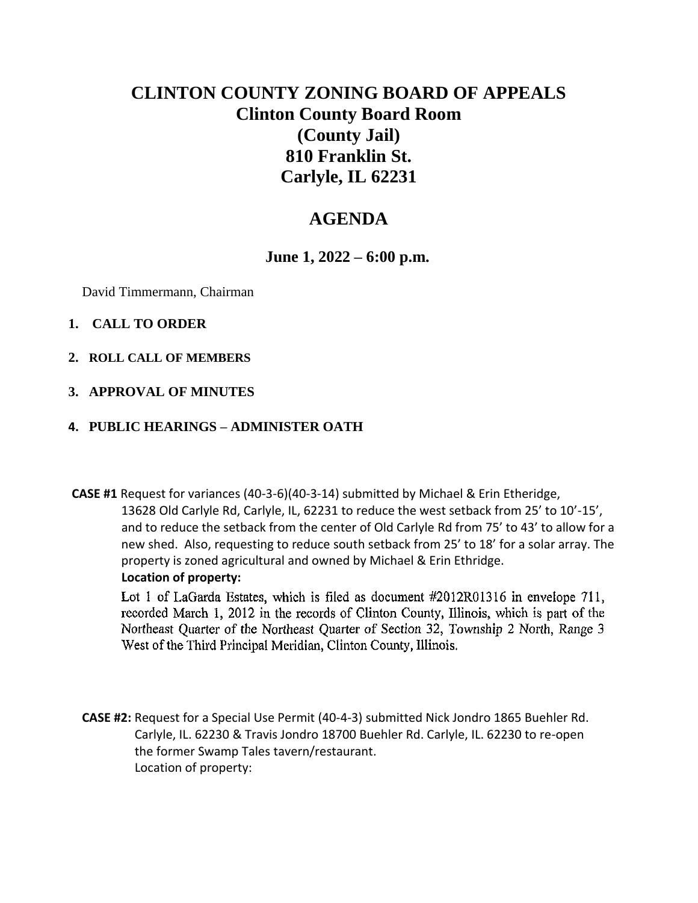# **CLINTON COUNTY ZONING BOARD OF APPEALS Clinton County Board Room (County Jail) 810 Franklin St. Carlyle, IL 62231**

## **AGENDA**

### **June 1, 2022 – 6:00 p.m.**

David Timmermann, Chairman

#### **1. CALL TO ORDER**

**2. ROLL CALL OF MEMBERS**

#### **3. APPROVAL OF MINUTES**

#### **4. PUBLIC HEARINGS – ADMINISTER OATH**

**CASE #1** Request for variances (40-3-6)(40-3-14) submitted by Michael & Erin Etheridge, 13628 Old Carlyle Rd, Carlyle, IL, 62231 to reduce the west setback from 25' to 10'-15', and to reduce the setback from the center of Old Carlyle Rd from 75' to 43' to allow for a new shed. Also, requesting to reduce south setback from 25' to 18' for a solar array. The property is zoned agricultural and owned by Michael & Erin Ethridge. **Location of property:**

Lot 1 of LaGarda Estates, which is filed as document #2012R01316 in envelope 711, recorded March 1, 2012 in the records of Clinton County, Illinois, which is part of the Northeast Quarter of the Northeast Quarter of Section 32, Township 2 North, Range 3 West of the Third Principal Meridian, Clinton County, Illinois.

**CASE #2:** Request for a Special Use Permit (40-4-3) submitted Nick Jondro 1865 Buehler Rd. Carlyle, IL. 62230 & Travis Jondro 18700 Buehler Rd. Carlyle, IL. 62230 to re-open the former Swamp Tales tavern/restaurant. Location of property: